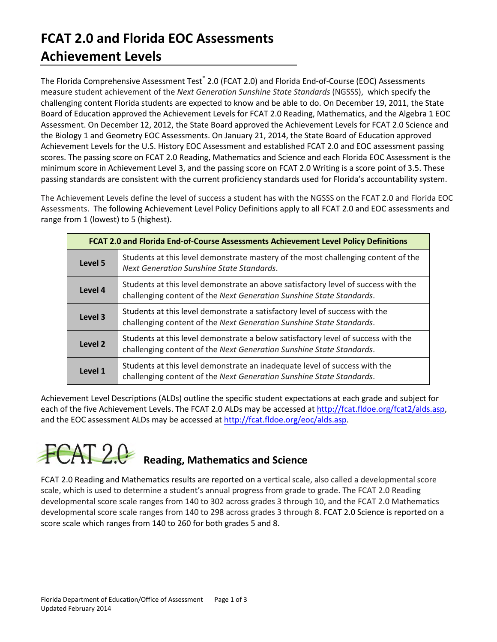## **FCAT 2.0 and Florida EOC Assessments Achievement Levels**

The Florida Comprehensive Assessment Test® 2.0 (FCAT 2.0) and Florida End-of-Course (EOC) Assessments measure student achievement of the *Next Generation Sunshine State Standards* (NGSSS), which specify the challenging content Florida students are expected to know and be able to do. On December 19, 2011, the State Board of Education approved the Achievement Levels for FCAT 2.0 Reading, Mathematics, and the Algebra 1 EOC Assessment. On December 12, 2012, the State Board approved the Achievement Levels for FCAT 2.0 Science and the Biology 1 and Geometry EOC Assessments. On January 21, 2014, the State Board of Education approved Achievement Levels for the U.S. History EOC Assessment and established FCAT 2.0 and EOC assessment passing scores. The passing score on FCAT 2.0 Reading, Mathematics and Science and each Florida EOC Assessment is the minimum score in Achievement Level 3, and the passing score on FCAT 2.0 Writing is a score point of 3.5. These passing standards are consistent with the current proficiency standards used for Florida's accountability system.

The Achievement Levels define the level of success a student has with the NGSSS on the FCAT 2.0 and Florida EOC Assessments. The following Achievement Level Policy Definitions apply to all FCAT 2.0 and EOC assessments and range from 1 (lowest) to 5 (highest).

| FCAT 2.0 and Florida End-of-Course Assessments Achievement Level Policy Definitions |                                                                                                                                                            |  |  |  |
|-------------------------------------------------------------------------------------|------------------------------------------------------------------------------------------------------------------------------------------------------------|--|--|--|
| Level 5                                                                             | Students at this level demonstrate mastery of the most challenging content of the<br>Next Generation Sunshine State Standards.                             |  |  |  |
| Level 4                                                                             | Students at this level demonstrate an above satisfactory level of success with the<br>challenging content of the Next Generation Sunshine State Standards. |  |  |  |
| Level 3                                                                             | Students at this level demonstrate a satisfactory level of success with the<br>challenging content of the Next Generation Sunshine State Standards.        |  |  |  |
| Level 2                                                                             | Students at this level demonstrate a below satisfactory level of success with the<br>challenging content of the Next Generation Sunshine State Standards.  |  |  |  |
| Level 1                                                                             | Students at this level demonstrate an inadequate level of success with the<br>challenging content of the Next Generation Sunshine State Standards.         |  |  |  |

Achievement Level Descriptions (ALDs) outline the specific student expectations at each grade and subject for each of the five Achievement Levels. The FCAT 2.0 ALDs may be accessed at [http://fcat.fldoe.org/fcat2/alds.asp,](http://fcat.fldoe.org/fcat2/alds.asp) and the EOC assessment ALDs may be accessed at [http://fcat.fldoe.org/eoc/alds.asp.](http://fcat.fldoe.org/eoc/alds.asp)

## **FCAT 2.0** Reading, Mathematics and Science

FCAT 2.0 Reading and Mathematics results are reported on a vertical scale, also called a developmental score scale, which is used to determine a student's annual progress from grade to grade. The FCAT 2.0 Reading developmental score scale ranges from 140 to 302 across grades 3 through 10, and the FCAT 2.0 Mathematics developmental score scale ranges from 140 to 298 across grades 3 through 8. FCAT 2.0 Science is reported on a score scale which ranges from 140 to 260 for both grades 5 and 8.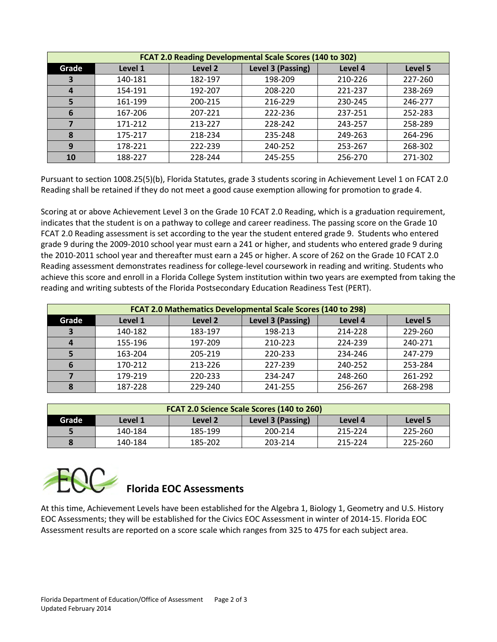| <b>FCAT 2.0 Reading Developmental Scale Scores (140 to 302)</b> |         |         |                   |         |         |  |  |
|-----------------------------------------------------------------|---------|---------|-------------------|---------|---------|--|--|
| Grade                                                           | Level 1 | Level 2 | Level 3 (Passing) | Level 4 | Level 5 |  |  |
| 3                                                               | 140-181 | 182-197 | 198-209           | 210-226 | 227-260 |  |  |
| $\overline{a}$                                                  | 154-191 | 192-207 | 208-220           | 221-237 | 238-269 |  |  |
| 5                                                               | 161-199 | 200-215 | 216-229           | 230-245 | 246-277 |  |  |
| 6                                                               | 167-206 | 207-221 | 222-236           | 237-251 | 252-283 |  |  |
| 7                                                               | 171-212 | 213-227 | 228-242           | 243-257 | 258-289 |  |  |
| 8                                                               | 175-217 | 218-234 | 235-248           | 249-263 | 264-296 |  |  |
| 9                                                               | 178-221 | 222-239 | 240-252           | 253-267 | 268-302 |  |  |
| 10                                                              | 188-227 | 228-244 | 245-255           | 256-270 | 271-302 |  |  |

Pursuant to section 1008.25(5)(b), Florida Statutes, grade 3 students scoring in Achievement Level 1 on FCAT 2.0 Reading shall be retained if they do not meet a good cause exemption allowing for promotion to grade 4.

Scoring at or above Achievement Level 3 on the Grade 10 FCAT 2.0 Reading, which is a graduation requirement, indicates that the student is on a pathway to college and career readiness. The passing score on the Grade 10 FCAT 2.0 Reading assessment is set according to the year the student entered grade 9. Students who entered grade 9 during the 2009-2010 school year must earn a 241 or higher, and students who entered grade 9 during the 2010-2011 school year and thereafter must earn a 245 or higher. A score of 262 on the Grade 10 FCAT 2.0 Reading assessment demonstrates readiness for college-level coursework in reading and writing. Students who achieve this score and enroll in a Florida College System institution within two years are exempted from taking the reading and writing subtests of the Florida Postsecondary Education Readiness Test (PERT).

| FCAT 2.0 Mathematics Developmental Scale Scores (140 to 298) |         |         |                   |         |         |  |  |
|--------------------------------------------------------------|---------|---------|-------------------|---------|---------|--|--|
| Grade                                                        | Level 1 | Level 2 | Level 3 (Passing) | Level 4 | Level 5 |  |  |
| З                                                            | 140-182 | 183-197 | 198-213           | 214-228 | 229-260 |  |  |
| $\overline{a}$                                               | 155-196 | 197-209 | 210-223           | 224-239 | 240-271 |  |  |
| 5                                                            | 163-204 | 205-219 | 220-233           | 234-246 | 247-279 |  |  |
| 6                                                            | 170-212 | 213-226 | 227-239           | 240-252 | 253-284 |  |  |
| 7                                                            | 179-219 | 220-233 | 234-247           | 248-260 | 261-292 |  |  |
| 8                                                            | 187-228 | 229-240 | 241-255           | 256-267 | 268-298 |  |  |

| <b>FCAT 2.0 Science Scale Scores (140 to 260)</b>        |                                                               |         |         |         |         |  |  |  |
|----------------------------------------------------------|---------------------------------------------------------------|---------|---------|---------|---------|--|--|--|
| Grade                                                    | Level 3 (Passing)<br>Level 1<br>Level 5<br>Level 2<br>Level 4 |         |         |         |         |  |  |  |
|                                                          | 140-184                                                       | 185-199 | 200-214 | 215-224 | 225-260 |  |  |  |
| 8<br>140-184<br>203-214<br>185-202<br>225-260<br>215-224 |                                                               |         |         |         |         |  |  |  |



## **Florida EOC Assessments**

At this time, Achievement Levels have been established for the Algebra 1, Biology 1, Geometry and U.S. History EOC Assessments; they will be established for the Civics EOC Assessment in winter of 2014-15. Florida EOC Assessment results are reported on a score scale which ranges from 325 to 475 for each subject area.